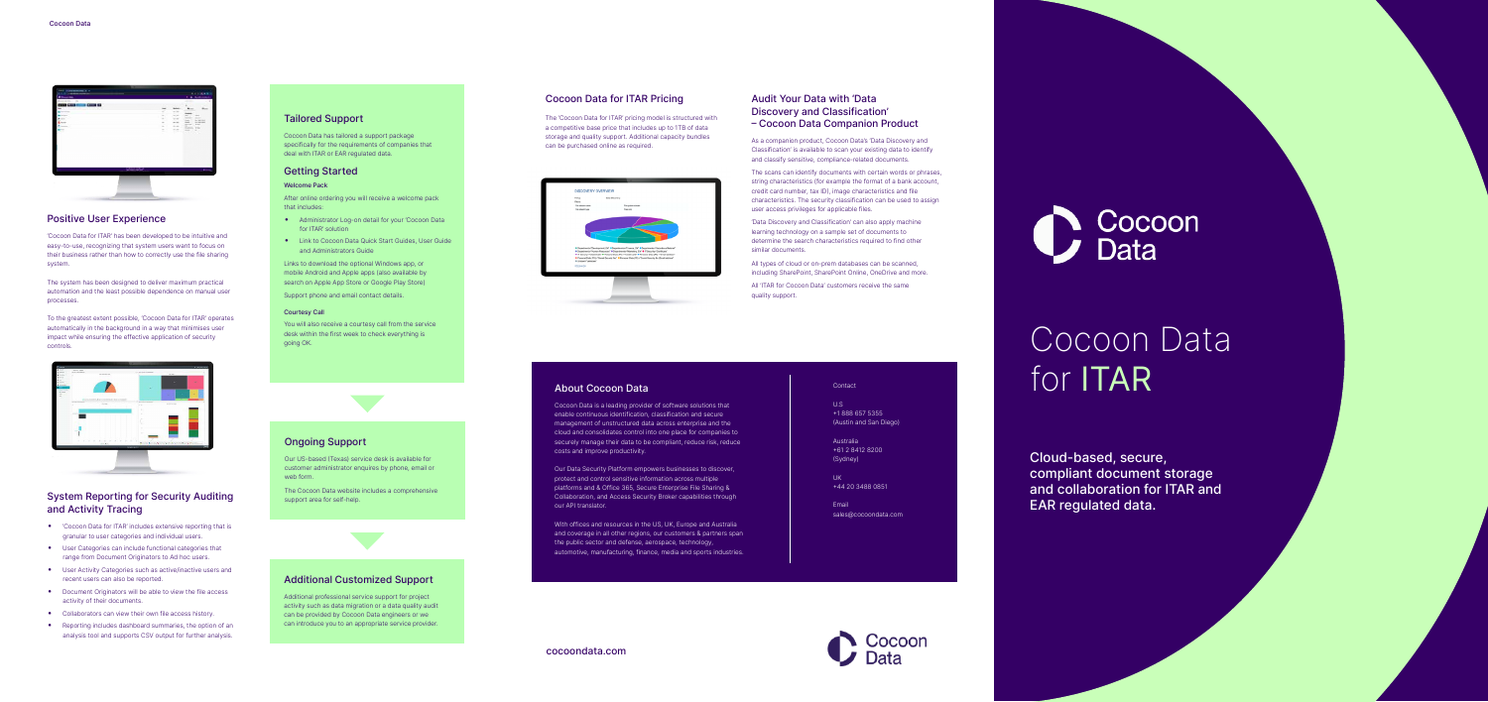# System Reporting for Security Auditing and Activity Tracing

- 'Cocoon Data for ITAR' includes extensive reporting that is granular to user categories and individual users.
- User Categories can include functional categories that range from Document Originators to Ad hoc users.
- User Activity Categories such as active/inactive users and recent users can also be reported.
- Document Originators will be able to view the file access activity of their documents.
- Collaborators can view their own file access history.
- Reporting includes dashboard summaries, the option of an analysis tool and supports CSV output for further analysis.

# Positive User Experience

'Cocoon Data for ITAR' has been developed to be intuitive and easy-to-use, recognizing that system users want to focus on their business rather than how to correctly use the file sharing system.

The system has been designed to deliver maximum practical automation and the least possible dependence on manual user processes.

To the greatest extent possible, 'Cocoon Data for ITAR' operates automatically in the background in a way that minimises user impact while ensuring the effective application of security controls.



# Cocoon Data for ITAR Pricing

The 'Cocoon Data for ITAR' pricing model is structured with a competitive base price that includes up to 1TB of data storage and quality support. Additional capacity bundles can be purchased online as required.



# Audit Your Data with 'Data Discovery and Classification' – Cocoon Data Companion Product

As a companion product, Cocoon Data's 'Data Discovery and Classification' is available to scan your existing data to identify and classify sensitive, compliance-related documents.

The scans can identify documents with certain words or phrases, string characteristics (for example the format of a bank account, credit card number, tax ID), image characteristics and file characteristics. The security classification can be used to assign user access privileges for applicable files.

'Data Discovery and Classification' can also apply machine learning technology on a sample set of documents to determine the search characteristics required to find other similar documents.

All types of cloud or on-prem databases can be scanned, including SharePoint, SharePoint Online, OneDrive and more.

All 'ITAR for Cocoon Data' customers receive the same quality support.

# Cocoon Data for ITAR

Cloud-based, secure, compliant document storage and collaboration for ITAR and EAR regulated data.

# About Cocoon Data

Cocoon Data is a leading provider of software solutions that enable continuous identification, classification and secure management of unstructured data across enterprise and the cloud and consolidates control into one place for companies to securely manage their data to be compliant, reduce risk, reduce costs and improve productivity.

Our Data Security Platform empowers businesses to discover, protect and control sensitive information across multiple platforms and & Office 365, Secure Enterprise File Sharing & Collaboration, and Access Security Broker capabilities through our API translator.

With offices and resources in the US, UK, Europe and Australia and coverage in all other regions, our customers & partners span the public sector and defense, aerospace, technology, automotive, manufacturing, finance, media and sports industries.

#### Contact

U.S +1 888 657 5355 (Austin and San Diego)

Australia +61 2 8412 8200 (Sydney)

UK +44 20 3488 0851

Email sales@cocoondata.com





# Tailored Support

Cocoon Data has tailored a support package specifically for the requirements of companies that deal with ITAR or EAR regulated data.

# Getting Started

## Welcome Pack

After online ordering you will receive a welcome pack that includes:

- Administrator Log-on detail for your 'Cocoon Data for ITAR' solution
- Link to Cocoon Data Quick Start Guides, User Guide and Administrators Guide

Links to download the optional Windows app, or mobile Android and Apple apps (also available by search on Apple App Store or Google Play Store)

Support phone and email contact details.

#### Courtesy Call

You will also receive a courtesy call from the service desk within the first week to check everything is going OK.



Our US-based (Texas) service desk is available for customer administrator enquires by phone, email or web form.

The Cocoon Data website includes a comprehensive support area for self-help.

# Additional Customized Support

Additional professional service support for project activity such as data migration or a data quality audit can be provided by Cocoon Data engineers or we can introduce you to an appropriate service provider.